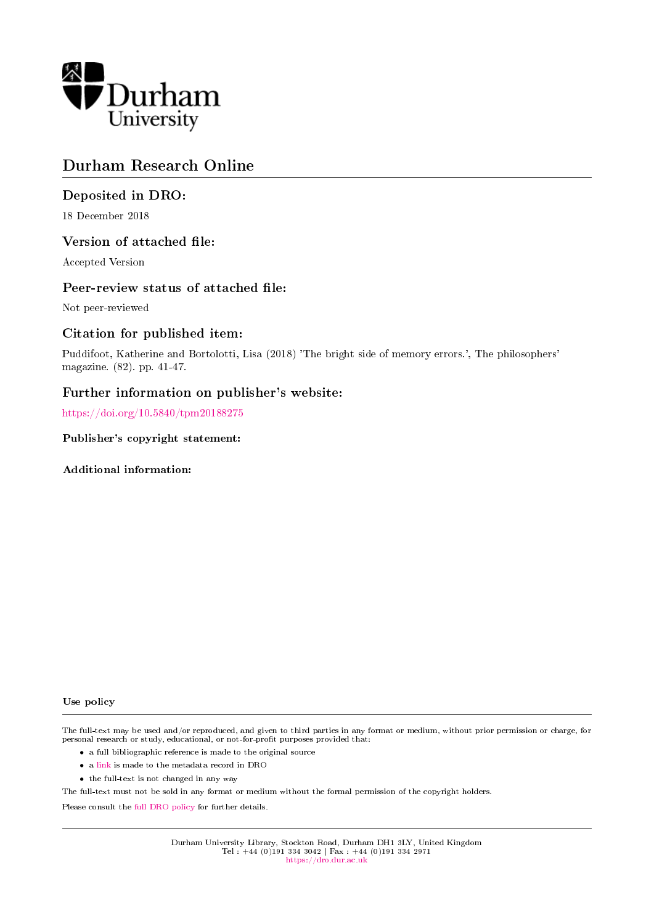

## Durham Research Online

## Deposited in DRO:

18 December 2018

## Version of attached file:

Accepted Version

## Peer-review status of attached file:

Not peer-reviewed

## Citation for published item:

Puddifoot, Katherine and Bortolotti, Lisa (2018) 'The bright side of memory errors.', The philosophers' magazine. (82). pp. 41-47.

## Further information on publisher's website:

<https://doi.org/10.5840/tpm20188275>

### Publisher's copyright statement:

Additional information:

#### Use policy

The full-text may be used and/or reproduced, and given to third parties in any format or medium, without prior permission or charge, for personal research or study, educational, or not-for-profit purposes provided that:

- a full bibliographic reference is made to the original source
- a [link](http://dro.dur.ac.uk/27027/) is made to the metadata record in DRO
- the full-text is not changed in any way

The full-text must not be sold in any format or medium without the formal permission of the copyright holders.

Please consult the [full DRO policy](https://dro.dur.ac.uk/policies/usepolicy.pdf) for further details.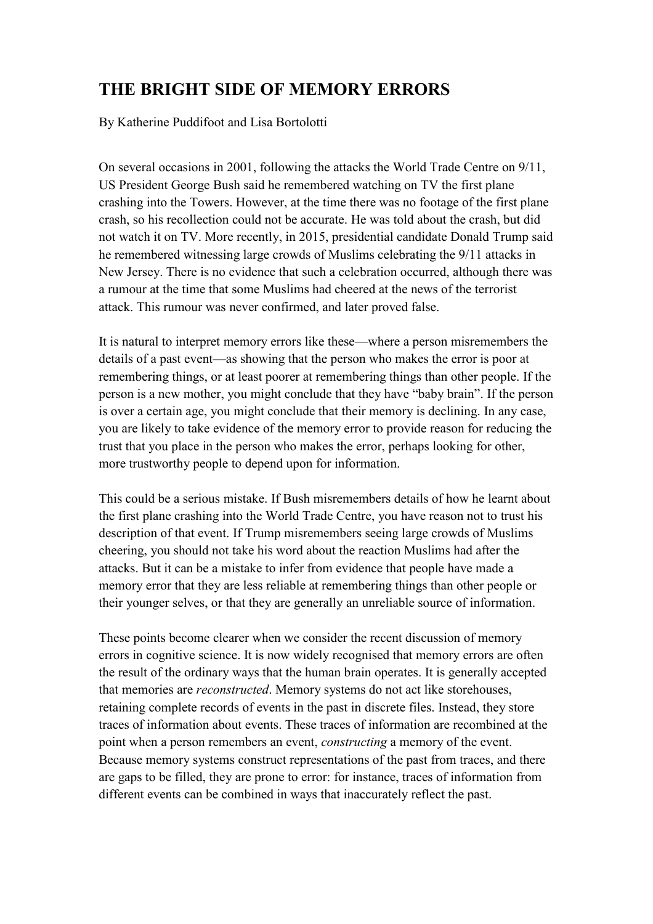# **THE BRIGHT SIDE OF MEMORY ERRORS**

By Katherine Puddifoot and Lisa Bortolotti

On several occasions in 2001, following the attacks the World Trade Centre on 9/11, US President George Bush said he remembered watching on TV the first plane crashing into the Towers. However, at the time there was no footage of the first plane crash, so his recollection could not be accurate. He was told about the crash, but did not watch it on TV. More recently, in 2015, presidential candidate Donald Trump said he remembered witnessing large crowds of Muslims celebrating the 9/11 attacks in New Jersey. There is no evidence that such a celebration occurred, although there was a rumour at the time that some Muslims had cheered at the news of the terrorist attack. This rumour was never confirmed, and later proved false.

It is natural to interpret memory errors like these—where a person misremembers the details of a past event—as showing that the person who makes the error is poor at remembering things, or at least poorer at remembering things than other people. If the person is a new mother, you might conclude that they have "baby brain". If the person is over a certain age, you might conclude that their memory is declining. In any case, you are likely to take evidence of the memory error to provide reason for reducing the trust that you place in the person who makes the error, perhaps looking for other, more trustworthy people to depend upon for information.

This could be a serious mistake. If Bush misremembers details of how he learnt about the first plane crashing into the World Trade Centre, you have reason not to trust his description of that event. If Trump misremembers seeing large crowds of Muslims cheering, you should not take his word about the reaction Muslims had after the attacks. But it can be a mistake to infer from evidence that people have made a memory error that they are less reliable at remembering things than other people or their younger selves, or that they are generally an unreliable source of information.

These points become clearer when we consider the recent discussion of memory errors in cognitive science. It is now widely recognised that memory errors are often the result of the ordinary ways that the human brain operates. It is generally accepted that memories are *reconstructed*. Memory systems do not act like storehouses, retaining complete records of events in the past in discrete files. Instead, they store traces of information about events. These traces of information are recombined at the point when a person remembers an event, *constructing* a memory of the event. Because memory systems construct representations of the past from traces, and there are gaps to be filled, they are prone to error: for instance, traces of information from different events can be combined in ways that inaccurately reflect the past.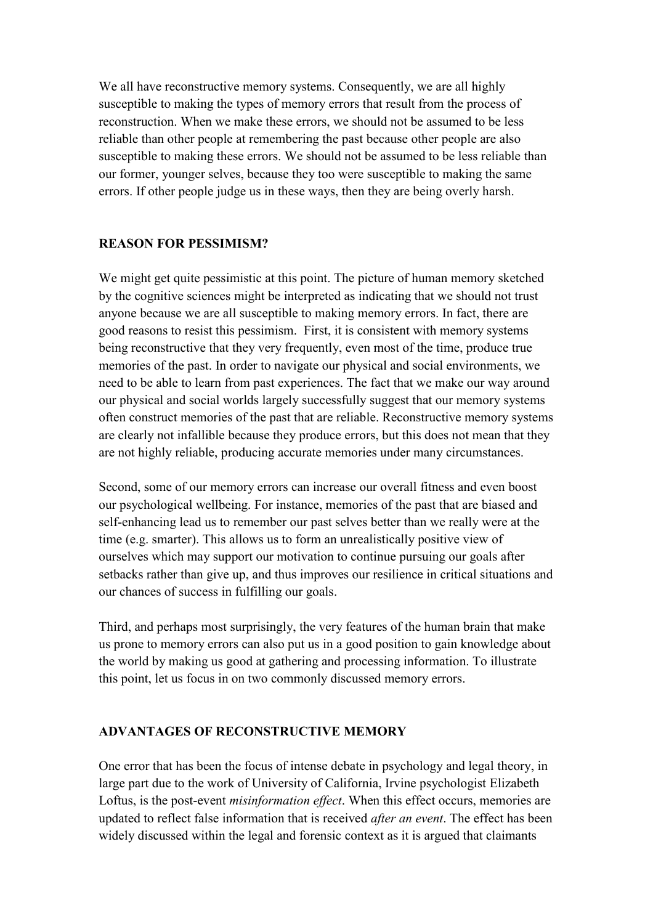We all have reconstructive memory systems. Consequently, we are all highly susceptible to making the types of memory errors that result from the process of reconstruction. When we make these errors, we should not be assumed to be less reliable than other people at remembering the past because other people are also susceptible to making these errors. We should not be assumed to be less reliable than our former, younger selves, because they too were susceptible to making the same errors. If other people judge us in these ways, then they are being overly harsh.

## **REASON FOR PESSIMISM?**

We might get quite pessimistic at this point. The picture of human memory sketched by the cognitive sciences might be interpreted as indicating that we should not trust anyone because we are all susceptible to making memory errors. In fact, there are good reasons to resist this pessimism. First, it is consistent with memory systems being reconstructive that they very frequently, even most of the time, produce true memories of the past. In order to navigate our physical and social environments, we need to be able to learn from past experiences. The fact that we make our way around our physical and social worlds largely successfully suggest that our memory systems often construct memories of the past that are reliable. Reconstructive memory systems are clearly not infallible because they produce errors, but this does not mean that they are not highly reliable, producing accurate memories under many circumstances.

Second, some of our memory errors can increase our overall fitness and even boost our psychological wellbeing. For instance, memories of the past that are biased and self-enhancing lead us to remember our past selves better than we really were at the time (e.g. smarter). This allows us to form an unrealistically positive view of ourselves which may support our motivation to continue pursuing our goals after setbacks rather than give up, and thus improves our resilience in critical situations and our chances of success in fulfilling our goals.

Third, and perhaps most surprisingly, the very features of the human brain that make us prone to memory errors can also put us in a good position to gain knowledge about the world by making us good at gathering and processing information. To illustrate this point, let us focus in on two commonly discussed memory errors.

## **ADVANTAGES OF RECONSTRUCTIVE MEMORY**

One error that has been the focus of intense debate in psychology and legal theory, in large part due to the work of University of California, Irvine psychologist Elizabeth Loftus, is the post-event *misinformation effect*. When this effect occurs, memories are updated to reflect false information that is received *after an event*. The effect has been widely discussed within the legal and forensic context as it is argued that claimants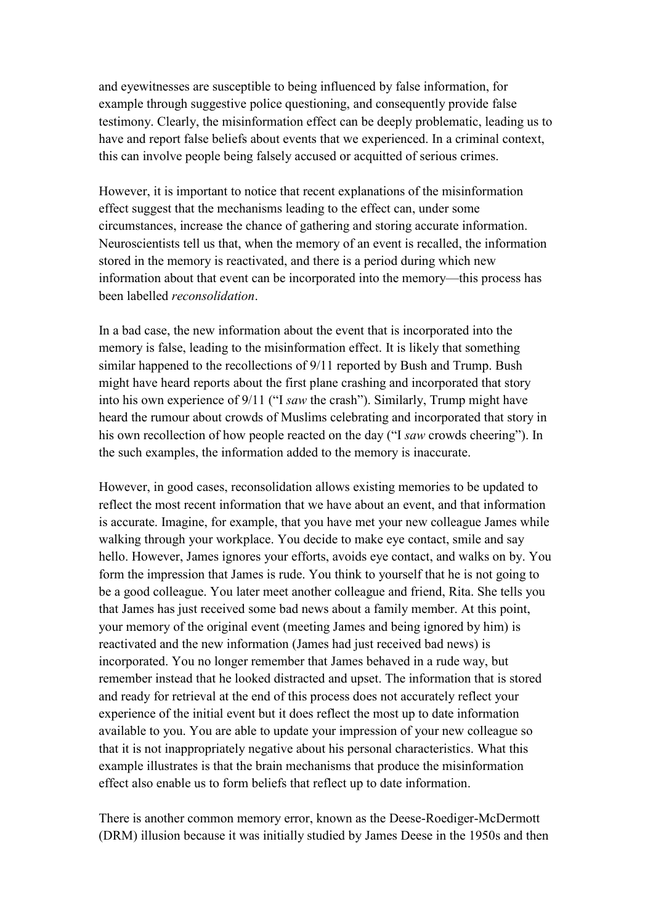and eyewitnesses are susceptible to being influenced by false information, for example through suggestive police questioning, and consequently provide false testimony. Clearly, the misinformation effect can be deeply problematic, leading us to have and report false beliefs about events that we experienced. In a criminal context, this can involve people being falsely accused or acquitted of serious crimes.

However, it is important to notice that recent explanations of the misinformation effect suggest that the mechanisms leading to the effect can, under some circumstances, increase the chance of gathering and storing accurate information. Neuroscientists tell us that, when the memory of an event is recalled, the information stored in the memory is reactivated, and there is a period during which new information about that event can be incorporated into the memory—this process has been labelled *reconsolidation*.

In a bad case, the new information about the event that is incorporated into the memory is false, leading to the misinformation effect. It is likely that something similar happened to the recollections of 9/11 reported by Bush and Trump. Bush might have heard reports about the first plane crashing and incorporated that story into his own experience of 9/11 ("I *saw* the crash"). Similarly, Trump might have heard the rumour about crowds of Muslims celebrating and incorporated that story in his own recollection of how people reacted on the day ("I *saw* crowds cheering"). In the such examples, the information added to the memory is inaccurate.

However, in good cases, reconsolidation allows existing memories to be updated to reflect the most recent information that we have about an event, and that information is accurate. Imagine, for example, that you have met your new colleague James while walking through your workplace. You decide to make eye contact, smile and say hello. However, James ignores your efforts, avoids eye contact, and walks on by. You form the impression that James is rude. You think to yourself that he is not going to be a good colleague. You later meet another colleague and friend, Rita. She tells you that James has just received some bad news about a family member. At this point, your memory of the original event (meeting James and being ignored by him) is reactivated and the new information (James had just received bad news) is incorporated. You no longer remember that James behaved in a rude way, but remember instead that he looked distracted and upset. The information that is stored and ready for retrieval at the end of this process does not accurately reflect your experience of the initial event but it does reflect the most up to date information available to you. You are able to update your impression of your new colleague so that it is not inappropriately negative about his personal characteristics. What this example illustrates is that the brain mechanisms that produce the misinformation effect also enable us to form beliefs that reflect up to date information.

There is another common memory error, known as the Deese-Roediger-McDermott (DRM) illusion because it was initially studied by James Deese in the 1950s and then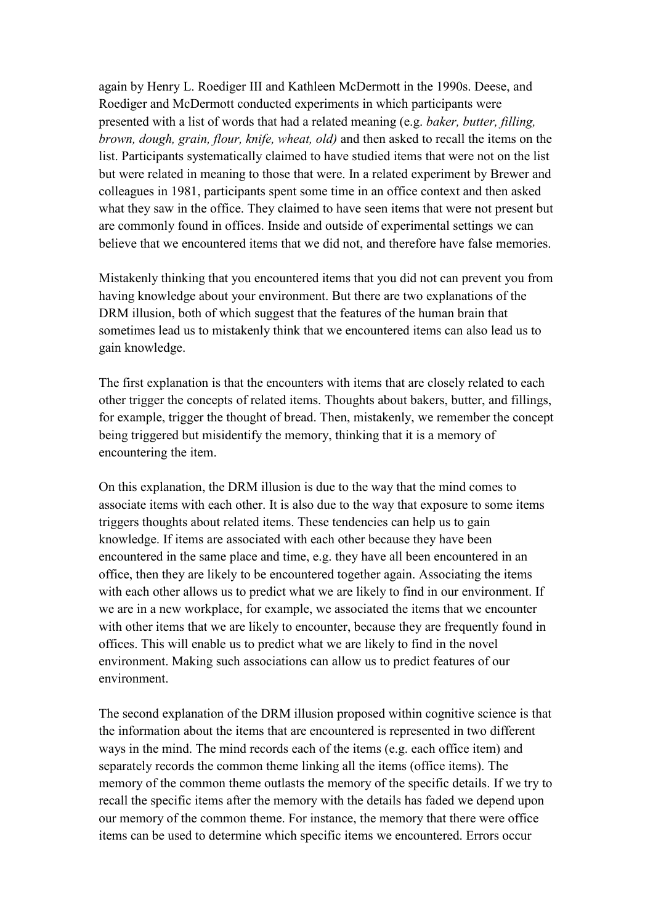again by Henry L. Roediger III and Kathleen McDermott in the 1990s. Deese, and Roediger and McDermott conducted experiments in which participants were presented with a list of words that had a related meaning (e.g. *baker, butter, filling, brown, dough, grain, flour, knife, wheat, old)* and then asked to recall the items on the list. Participants systematically claimed to have studied items that were not on the list but were related in meaning to those that were. In a related experiment by Brewer and colleagues in 1981, participants spent some time in an office context and then asked what they saw in the office. They claimed to have seen items that were not present but are commonly found in offices. Inside and outside of experimental settings we can believe that we encountered items that we did not, and therefore have false memories.

Mistakenly thinking that you encountered items that you did not can prevent you from having knowledge about your environment. But there are two explanations of the DRM illusion, both of which suggest that the features of the human brain that sometimes lead us to mistakenly think that we encountered items can also lead us to gain knowledge.

The first explanation is that the encounters with items that are closely related to each other trigger the concepts of related items. Thoughts about bakers, butter, and fillings, for example, trigger the thought of bread. Then, mistakenly, we remember the concept being triggered but misidentify the memory, thinking that it is a memory of encountering the item.

On this explanation, the DRM illusion is due to the way that the mind comes to associate items with each other. It is also due to the way that exposure to some items triggers thoughts about related items. These tendencies can help us to gain knowledge. If items are associated with each other because they have been encountered in the same place and time, e.g. they have all been encountered in an office, then they are likely to be encountered together again. Associating the items with each other allows us to predict what we are likely to find in our environment. If we are in a new workplace, for example, we associated the items that we encounter with other items that we are likely to encounter, because they are frequently found in offices. This will enable us to predict what we are likely to find in the novel environment. Making such associations can allow us to predict features of our environment.

The second explanation of the DRM illusion proposed within cognitive science is that the information about the items that are encountered is represented in two different ways in the mind. The mind records each of the items (e.g. each office item) and separately records the common theme linking all the items (office items). The memory of the common theme outlasts the memory of the specific details. If we try to recall the specific items after the memory with the details has faded we depend upon our memory of the common theme. For instance, the memory that there were office items can be used to determine which specific items we encountered. Errors occur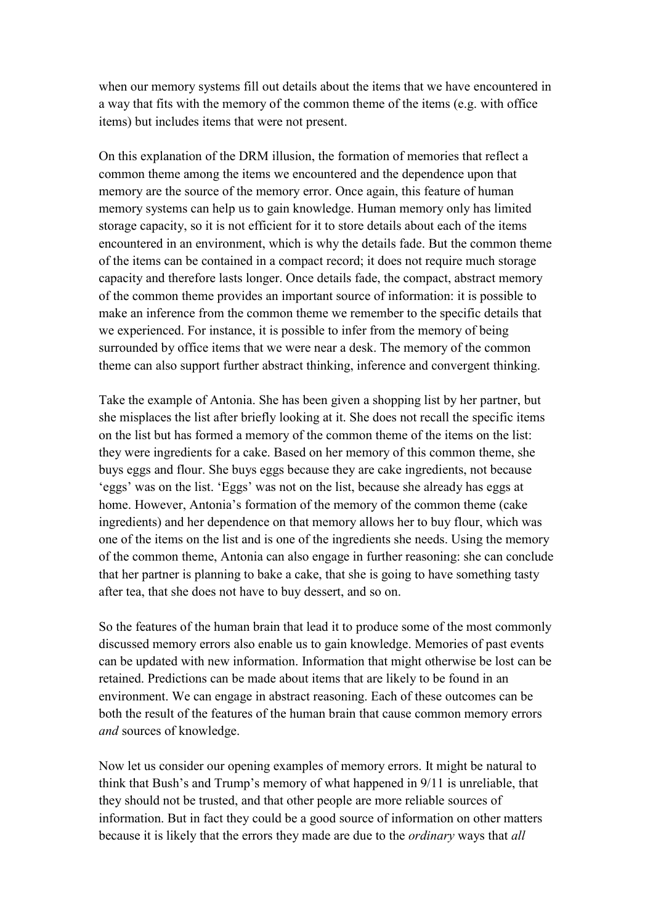when our memory systems fill out details about the items that we have encountered in a way that fits with the memory of the common theme of the items (e.g. with office items) but includes items that were not present.

On this explanation of the DRM illusion, the formation of memories that reflect a common theme among the items we encountered and the dependence upon that memory are the source of the memory error. Once again, this feature of human memory systems can help us to gain knowledge. Human memory only has limited storage capacity, so it is not efficient for it to store details about each of the items encountered in an environment, which is why the details fade. But the common theme of the items can be contained in a compact record; it does not require much storage capacity and therefore lasts longer. Once details fade, the compact, abstract memory of the common theme provides an important source of information: it is possible to make an inference from the common theme we remember to the specific details that we experienced. For instance, it is possible to infer from the memory of being surrounded by office items that we were near a desk. The memory of the common theme can also support further abstract thinking, inference and convergent thinking.

Take the example of Antonia. She has been given a shopping list by her partner, but she misplaces the list after briefly looking at it. She does not recall the specific items on the list but has formed a memory of the common theme of the items on the list: they were ingredients for a cake. Based on her memory of this common theme, she buys eggs and flour. She buys eggs because they are cake ingredients, not because 'eggs' was on the list. 'Eggs' was not on the list, because she already has eggs at home. However, Antonia's formation of the memory of the common theme (cake ingredients) and her dependence on that memory allows her to buy flour, which was one of the items on the list and is one of the ingredients she needs. Using the memory of the common theme, Antonia can also engage in further reasoning: she can conclude that her partner is planning to bake a cake, that she is going to have something tasty after tea, that she does not have to buy dessert, and so on.

So the features of the human brain that lead it to produce some of the most commonly discussed memory errors also enable us to gain knowledge. Memories of past events can be updated with new information. Information that might otherwise be lost can be retained. Predictions can be made about items that are likely to be found in an environment. We can engage in abstract reasoning. Each of these outcomes can be both the result of the features of the human brain that cause common memory errors *and* sources of knowledge.

Now let us consider our opening examples of memory errors. It might be natural to think that Bush's and Trump's memory of what happened in 9/11 is unreliable, that they should not be trusted, and that other people are more reliable sources of information. But in fact they could be a good source of information on other matters because it is likely that the errors they made are due to the *ordinary* ways that *all*